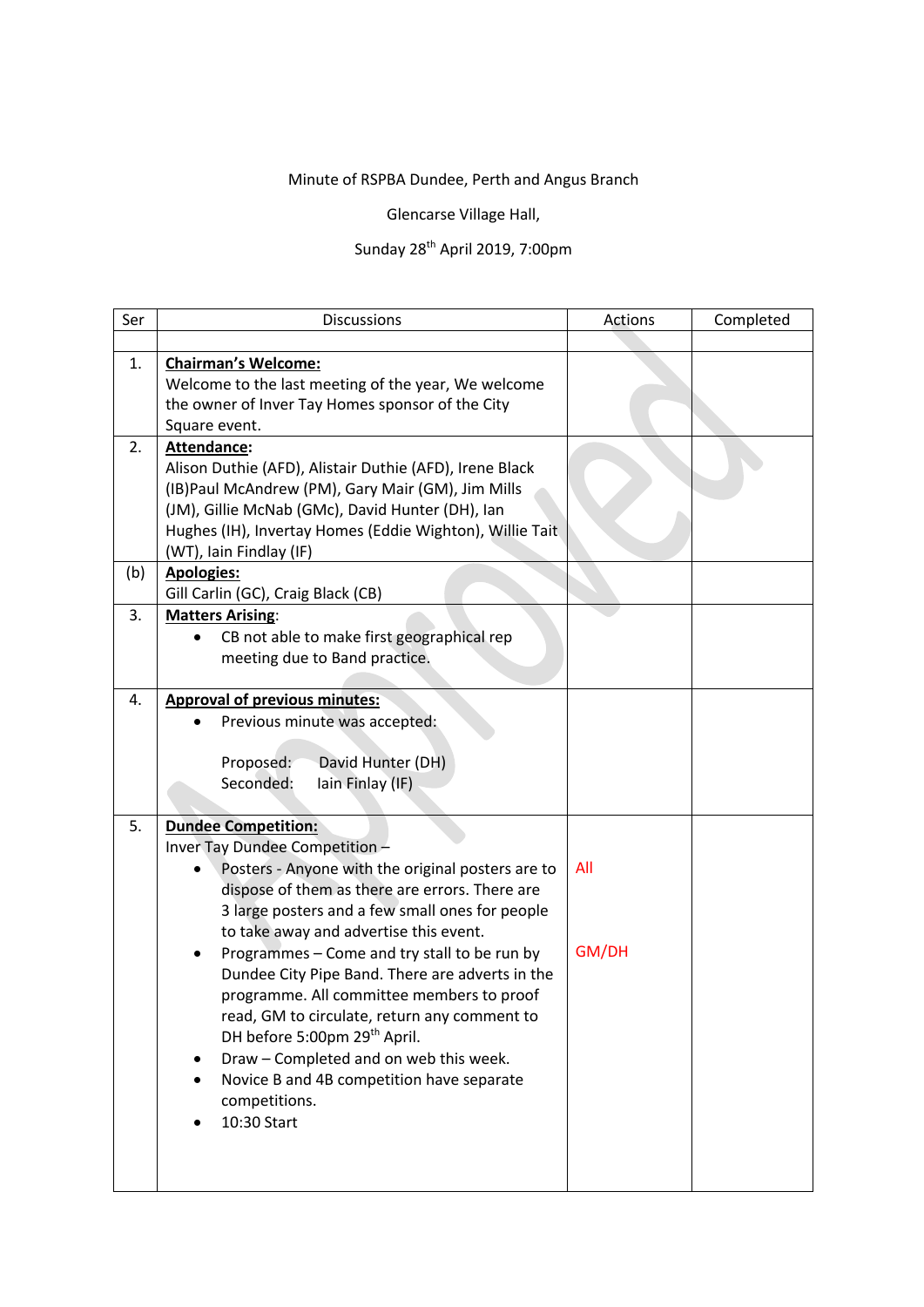## Minute of RSPBA Dundee, Perth and Angus Branch

Glencarse Village Hall,

## Sunday 28th April 2019, 7:00pm

| Ser | <b>Discussions</b>                                                                                                                                                                                                                                                                                                                                                                                                                                                                                                                                                                                                      | Actions      | Completed |
|-----|-------------------------------------------------------------------------------------------------------------------------------------------------------------------------------------------------------------------------------------------------------------------------------------------------------------------------------------------------------------------------------------------------------------------------------------------------------------------------------------------------------------------------------------------------------------------------------------------------------------------------|--------------|-----------|
|     |                                                                                                                                                                                                                                                                                                                                                                                                                                                                                                                                                                                                                         |              |           |
| 1.  | <b>Chairman's Welcome:</b><br>Welcome to the last meeting of the year, We welcome<br>the owner of Inver Tay Homes sponsor of the City<br>Square event.                                                                                                                                                                                                                                                                                                                                                                                                                                                                  |              |           |
| 2.  | Attendance:<br>Alison Duthie (AFD), Alistair Duthie (AFD), Irene Black<br>(IB) Paul McAndrew (PM), Gary Mair (GM), Jim Mills<br>(JM), Gillie McNab (GMc), David Hunter (DH), Ian<br>Hughes (IH), Invertay Homes (Eddie Wighton), Willie Tait<br>(WT), Iain Findlay (IF)                                                                                                                                                                                                                                                                                                                                                 |              |           |
| (b) | <b>Apologies:</b><br>Gill Carlin (GC), Craig Black (CB)                                                                                                                                                                                                                                                                                                                                                                                                                                                                                                                                                                 |              |           |
| 3.  | <b>Matters Arising:</b><br>CB not able to make first geographical rep<br>meeting due to Band practice.                                                                                                                                                                                                                                                                                                                                                                                                                                                                                                                  |              |           |
| 4.  | <b>Approval of previous minutes:</b><br>Previous minute was accepted:<br>David Hunter (DH)<br>Proposed:<br>Seconded:<br>lain Finlay (IF)                                                                                                                                                                                                                                                                                                                                                                                                                                                                                |              |           |
| 5.  | <b>Dundee Competition:</b><br>Inver Tay Dundee Competition -<br>Posters - Anyone with the original posters are to<br>dispose of them as there are errors. There are<br>3 large posters and a few small ones for people<br>to take away and advertise this event.<br>Programmes - Come and try stall to be run by<br>Dundee City Pipe Band. There are adverts in the<br>programme. All committee members to proof<br>read, GM to circulate, return any comment to<br>DH before 5:00pm 29th April.<br>Draw - Completed and on web this week.<br>Novice B and 4B competition have separate<br>competitions.<br>10:30 Start | All<br>GM/DH |           |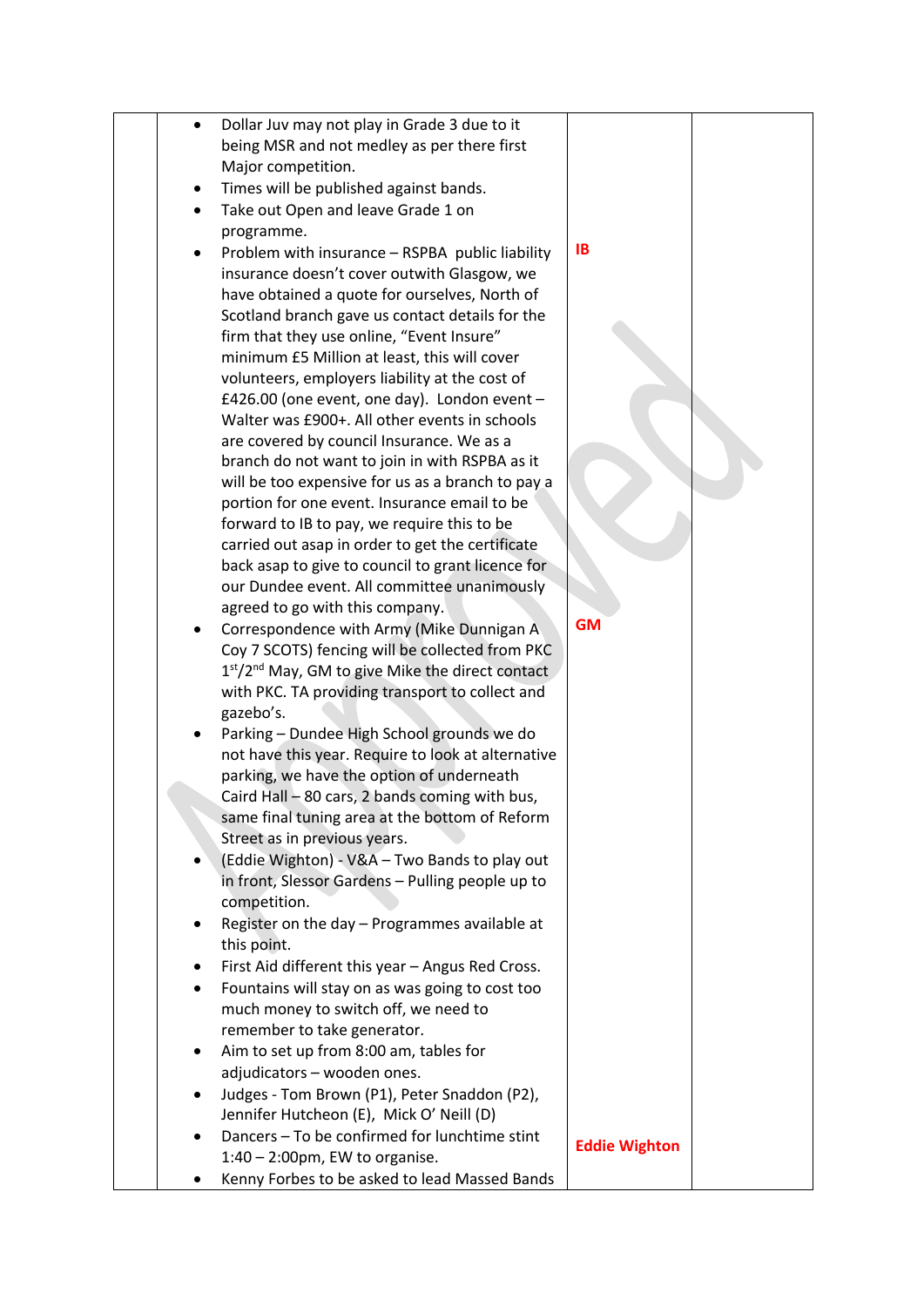|           | Dollar Juv may not play in Grade 3 due to it       |                      |  |
|-----------|----------------------------------------------------|----------------------|--|
|           | being MSR and not medley as per there first        |                      |  |
|           | Major competition.                                 |                      |  |
|           |                                                    |                      |  |
| ٠         | Times will be published against bands.             |                      |  |
| $\bullet$ | Take out Open and leave Grade 1 on                 |                      |  |
|           | programme.                                         |                      |  |
|           | Problem with insurance - RSPBA public liability    | <b>IB</b>            |  |
|           | insurance doesn't cover outwith Glasgow, we        |                      |  |
|           | have obtained a quote for ourselves, North of      |                      |  |
|           | Scotland branch gave us contact details for the    |                      |  |
|           |                                                    |                      |  |
|           | firm that they use online, "Event Insure"          |                      |  |
|           | minimum £5 Million at least, this will cover       |                      |  |
|           | volunteers, employers liability at the cost of     |                      |  |
|           | £426.00 (one event, one day). London event -       |                      |  |
|           | Walter was £900+. All other events in schools      |                      |  |
|           | are covered by council Insurance. We as a          |                      |  |
|           | branch do not want to join in with RSPBA as it     |                      |  |
|           | will be too expensive for us as a branch to pay a  |                      |  |
|           | portion for one event. Insurance email to be       |                      |  |
|           | forward to IB to pay, we require this to be        |                      |  |
|           | carried out asap in order to get the certificate   |                      |  |
|           |                                                    |                      |  |
|           | back asap to give to council to grant licence for  |                      |  |
|           | our Dundee event. All committee unanimously        |                      |  |
|           | agreed to go with this company.                    | <b>GM</b>            |  |
| $\bullet$ | Correspondence with Army (Mike Dunnigan A          |                      |  |
|           | Coy 7 SCOTS) fencing will be collected from PKC    |                      |  |
|           | $1st/2nd$ May, GM to give Mike the direct contact  |                      |  |
|           | with PKC. TA providing transport to collect and    |                      |  |
|           | gazebo's.                                          |                      |  |
|           | Parking - Dundee High School grounds we do         |                      |  |
|           | not have this year. Require to look at alternative |                      |  |
|           | parking, we have the option of underneath          |                      |  |
|           | Caird Hall - 80 cars, 2 bands coming with bus,     |                      |  |
|           | same final tuning area at the bottom of Reform     |                      |  |
|           | Street as in previous years.                       |                      |  |
|           | (Eddie Wighton) - V&A - Two Bands to play out      |                      |  |
| $\bullet$ |                                                    |                      |  |
|           | in front, Slessor Gardens - Pulling people up to   |                      |  |
|           | competition.                                       |                      |  |
|           | Register on the day - Programmes available at      |                      |  |
|           | this point.                                        |                      |  |
| ٠         | First Aid different this year - Angus Red Cross.   |                      |  |
| $\bullet$ | Fountains will stay on as was going to cost too    |                      |  |
|           | much money to switch off, we need to               |                      |  |
|           | remember to take generator.                        |                      |  |
| ٠         | Aim to set up from 8:00 am, tables for             |                      |  |
|           | adjudicators - wooden ones.                        |                      |  |
|           | Judges - Tom Brown (P1), Peter Snaddon (P2),       |                      |  |
| $\bullet$ |                                                    |                      |  |
|           | Jennifer Hutcheon (E), Mick O' Neill (D)           |                      |  |
| ٠         | Dancers - To be confirmed for lunchtime stint      | <b>Eddie Wighton</b> |  |
|           | $1:40 - 2:00$ pm, EW to organise.                  |                      |  |
| ٠         | Kenny Forbes to be asked to lead Massed Bands      |                      |  |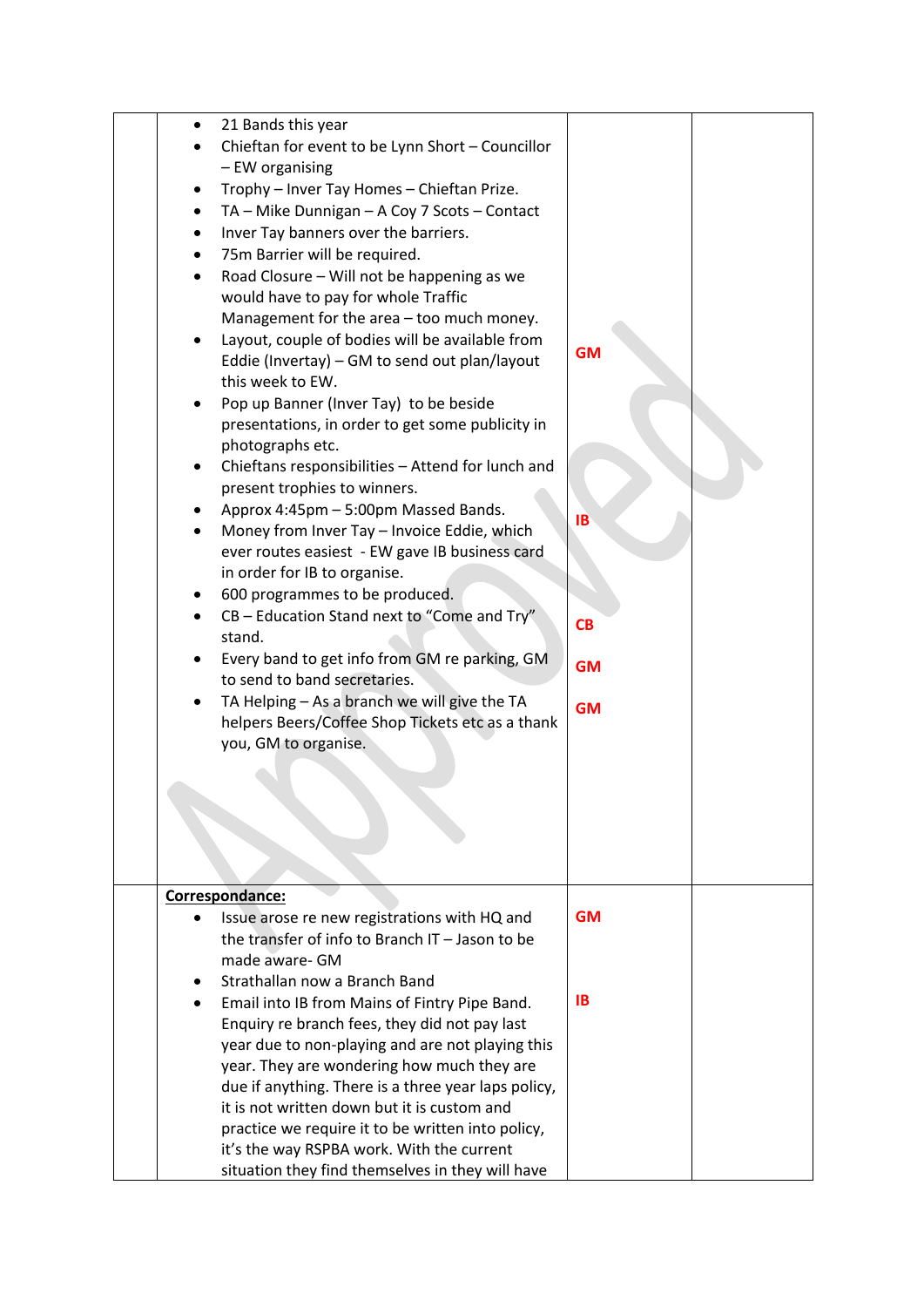| 21 Bands this year                                  |           |  |
|-----------------------------------------------------|-----------|--|
| Chieftan for event to be Lynn Short - Councillor    |           |  |
| - EW organising                                     |           |  |
| Trophy - Inver Tay Homes - Chieftan Prize.          |           |  |
| TA - Mike Dunnigan - A Coy 7 Scots - Contact        |           |  |
| Inver Tay banners over the barriers.                |           |  |
|                                                     |           |  |
| 75m Barrier will be required.                       |           |  |
| Road Closure - Will not be happening as we          |           |  |
| would have to pay for whole Traffic                 |           |  |
| Management for the area - too much money.           |           |  |
| Layout, couple of bodies will be available from     |           |  |
| Eddie (Invertay) - GM to send out plan/layout       | <b>GM</b> |  |
| this week to EW.                                    |           |  |
| Pop up Banner (Inver Tay) to be beside              |           |  |
| presentations, in order to get some publicity in    |           |  |
| photographs etc.                                    |           |  |
| Chieftans responsibilities - Attend for lunch and   |           |  |
| present trophies to winners.                        |           |  |
|                                                     |           |  |
| Approx 4:45pm - 5:00pm Massed Bands.                | <b>IB</b> |  |
| Money from Inver Tay - Invoice Eddie, which         |           |  |
| ever routes easiest - EW gave IB business card      |           |  |
| in order for IB to organise.                        |           |  |
| 600 programmes to be produced.                      |           |  |
| CB - Education Stand next to "Come and Try"         | <b>CB</b> |  |
| stand.                                              |           |  |
| Every band to get info from GM re parking, GM       | <b>GM</b> |  |
| to send to band secretaries.                        |           |  |
| TA Helping - As a branch we will give the TA        | <b>GM</b> |  |
| helpers Beers/Coffee Shop Tickets etc as a thank    |           |  |
| you, GM to organise.                                |           |  |
|                                                     |           |  |
|                                                     |           |  |
|                                                     |           |  |
|                                                     |           |  |
|                                                     |           |  |
|                                                     |           |  |
|                                                     |           |  |
| Correspondance:                                     |           |  |
| Issue arose re new registrations with HQ and        | <b>GM</b> |  |
| the transfer of info to Branch IT - Jason to be     |           |  |
| made aware- GM                                      |           |  |
| Strathallan now a Branch Band                       |           |  |
| Email into IB from Mains of Fintry Pipe Band.       | <b>IB</b> |  |
| Enquiry re branch fees, they did not pay last       |           |  |
| year due to non-playing and are not playing this    |           |  |
| year. They are wondering how much they are          |           |  |
| due if anything. There is a three year laps policy, |           |  |
|                                                     |           |  |
| it is not written down but it is custom and         |           |  |
| practice we require it to be written into policy,   |           |  |
| it's the way RSPBA work. With the current           |           |  |
| situation they find themselves in they will have    |           |  |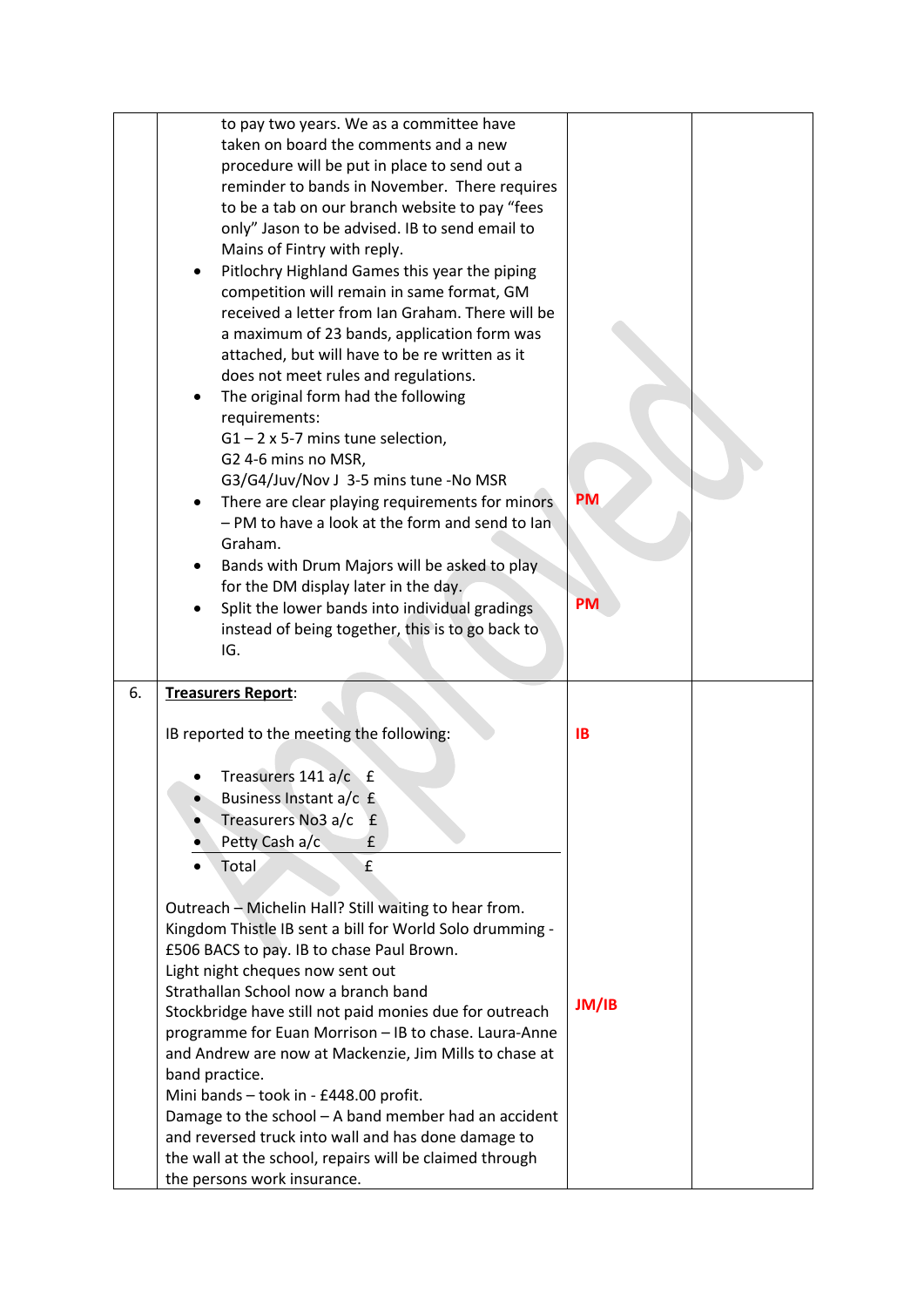|    | to pay two years. We as a committee have<br>taken on board the comments and a new<br>procedure will be put in place to send out a<br>reminder to bands in November. There requires<br>to be a tab on our branch website to pay "fees<br>only" Jason to be advised. IB to send email to<br>Mains of Fintry with reply.<br>Pitlochry Highland Games this year the piping<br>competition will remain in same format, GM<br>received a letter from Ian Graham. There will be<br>a maximum of 23 bands, application form was<br>attached, but will have to be re written as it<br>does not meet rules and regulations.<br>The original form had the following<br>requirements:<br>$G1 - 2 \times 5-7$ mins tune selection,<br>G2 4-6 mins no MSR,<br>G3/G4/Juv/Nov J 3-5 mins tune -No MSR<br>There are clear playing requirements for minors<br>- PM to have a look at the form and send to lan<br>Graham.<br>Bands with Drum Majors will be asked to play<br>for the DM display later in the day.<br>Split the lower bands into individual gradings<br>instead of being together, this is to go back to<br>IG. | <b>PM</b><br><b>PM</b> |  |
|----|-------------------------------------------------------------------------------------------------------------------------------------------------------------------------------------------------------------------------------------------------------------------------------------------------------------------------------------------------------------------------------------------------------------------------------------------------------------------------------------------------------------------------------------------------------------------------------------------------------------------------------------------------------------------------------------------------------------------------------------------------------------------------------------------------------------------------------------------------------------------------------------------------------------------------------------------------------------------------------------------------------------------------------------------------------------------------------------------------------------|------------------------|--|
| 6. | Treasurers Report:                                                                                                                                                                                                                                                                                                                                                                                                                                                                                                                                                                                                                                                                                                                                                                                                                                                                                                                                                                                                                                                                                          | <b>IB</b>              |  |
|    | IB reported to the meeting the following:                                                                                                                                                                                                                                                                                                                                                                                                                                                                                                                                                                                                                                                                                                                                                                                                                                                                                                                                                                                                                                                                   |                        |  |
|    | Treasurers $141 a/c$ £                                                                                                                                                                                                                                                                                                                                                                                                                                                                                                                                                                                                                                                                                                                                                                                                                                                                                                                                                                                                                                                                                      |                        |  |
|    | Business Instant a/c £                                                                                                                                                                                                                                                                                                                                                                                                                                                                                                                                                                                                                                                                                                                                                                                                                                                                                                                                                                                                                                                                                      |                        |  |
|    | Treasurers No3 a/c<br>£<br>Petty Cash a/c<br>£                                                                                                                                                                                                                                                                                                                                                                                                                                                                                                                                                                                                                                                                                                                                                                                                                                                                                                                                                                                                                                                              |                        |  |
|    | Total<br>£                                                                                                                                                                                                                                                                                                                                                                                                                                                                                                                                                                                                                                                                                                                                                                                                                                                                                                                                                                                                                                                                                                  |                        |  |
|    |                                                                                                                                                                                                                                                                                                                                                                                                                                                                                                                                                                                                                                                                                                                                                                                                                                                                                                                                                                                                                                                                                                             |                        |  |
|    | Outreach - Michelin Hall? Still waiting to hear from.                                                                                                                                                                                                                                                                                                                                                                                                                                                                                                                                                                                                                                                                                                                                                                                                                                                                                                                                                                                                                                                       |                        |  |
|    | Kingdom Thistle IB sent a bill for World Solo drumming -                                                                                                                                                                                                                                                                                                                                                                                                                                                                                                                                                                                                                                                                                                                                                                                                                                                                                                                                                                                                                                                    |                        |  |
|    | £506 BACS to pay. IB to chase Paul Brown.                                                                                                                                                                                                                                                                                                                                                                                                                                                                                                                                                                                                                                                                                                                                                                                                                                                                                                                                                                                                                                                                   |                        |  |
|    | Light night cheques now sent out                                                                                                                                                                                                                                                                                                                                                                                                                                                                                                                                                                                                                                                                                                                                                                                                                                                                                                                                                                                                                                                                            |                        |  |
|    | Strathallan School now a branch band<br>Stockbridge have still not paid monies due for outreach                                                                                                                                                                                                                                                                                                                                                                                                                                                                                                                                                                                                                                                                                                                                                                                                                                                                                                                                                                                                             | JM/IB                  |  |
|    | programme for Euan Morrison - IB to chase. Laura-Anne                                                                                                                                                                                                                                                                                                                                                                                                                                                                                                                                                                                                                                                                                                                                                                                                                                                                                                                                                                                                                                                       |                        |  |
|    | and Andrew are now at Mackenzie, Jim Mills to chase at                                                                                                                                                                                                                                                                                                                                                                                                                                                                                                                                                                                                                                                                                                                                                                                                                                                                                                                                                                                                                                                      |                        |  |
|    |                                                                                                                                                                                                                                                                                                                                                                                                                                                                                                                                                                                                                                                                                                                                                                                                                                                                                                                                                                                                                                                                                                             |                        |  |
|    | band practice.                                                                                                                                                                                                                                                                                                                                                                                                                                                                                                                                                                                                                                                                                                                                                                                                                                                                                                                                                                                                                                                                                              |                        |  |
|    | Mini bands - took in - £448.00 profit.                                                                                                                                                                                                                                                                                                                                                                                                                                                                                                                                                                                                                                                                                                                                                                                                                                                                                                                                                                                                                                                                      |                        |  |
|    | Damage to the school - A band member had an accident                                                                                                                                                                                                                                                                                                                                                                                                                                                                                                                                                                                                                                                                                                                                                                                                                                                                                                                                                                                                                                                        |                        |  |
|    | and reversed truck into wall and has done damage to<br>the wall at the school, repairs will be claimed through                                                                                                                                                                                                                                                                                                                                                                                                                                                                                                                                                                                                                                                                                                                                                                                                                                                                                                                                                                                              |                        |  |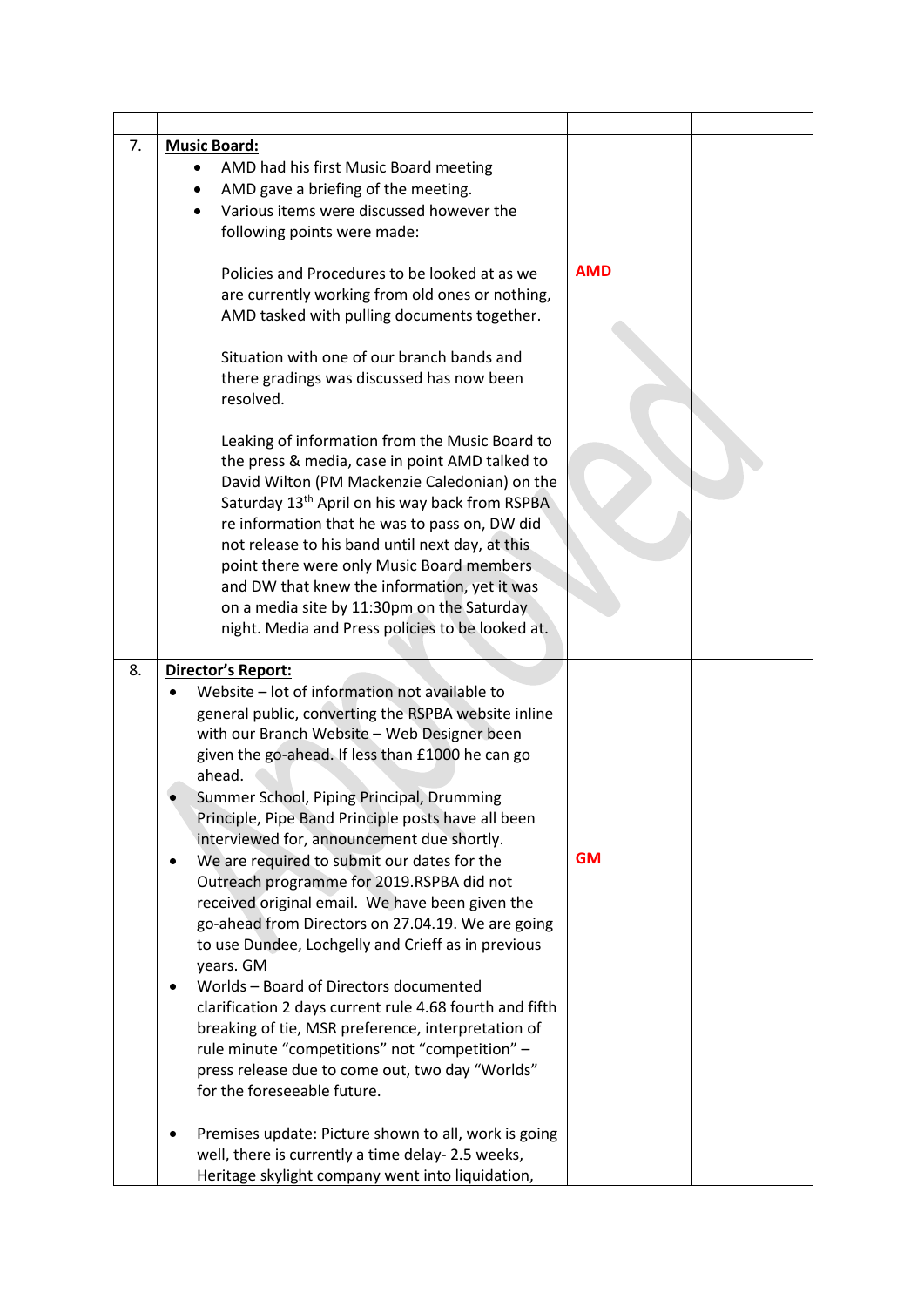| 7. | <b>Music Board:</b><br>AMD had his first Music Board meeting<br>AMD gave a briefing of the meeting.<br>$\bullet$<br>Various items were discussed however the<br>following points were made:<br>Policies and Procedures to be looked at as we<br>are currently working from old ones or nothing,<br>AMD tasked with pulling documents together.<br>Situation with one of our branch bands and<br>there gradings was discussed has now been<br>resolved.                                                                                                                                                                                                                                                                                                                                                                                                                                                                                                         | <b>AMD</b> |  |
|----|----------------------------------------------------------------------------------------------------------------------------------------------------------------------------------------------------------------------------------------------------------------------------------------------------------------------------------------------------------------------------------------------------------------------------------------------------------------------------------------------------------------------------------------------------------------------------------------------------------------------------------------------------------------------------------------------------------------------------------------------------------------------------------------------------------------------------------------------------------------------------------------------------------------------------------------------------------------|------------|--|
|    | Leaking of information from the Music Board to<br>the press & media, case in point AMD talked to<br>David Wilton (PM Mackenzie Caledonian) on the<br>Saturday 13 <sup>th</sup> April on his way back from RSPBA<br>re information that he was to pass on, DW did<br>not release to his band until next day, at this<br>point there were only Music Board members<br>and DW that knew the information, yet it was<br>on a media site by 11:30pm on the Saturday<br>night. Media and Press policies to be looked at.                                                                                                                                                                                                                                                                                                                                                                                                                                             |            |  |
| 8. | Director's Report:<br>Website - lot of information not available to<br>general public, converting the RSPBA website inline<br>with our Branch Website - Web Designer been<br>given the go-ahead. If less than £1000 he can go<br>ahead.<br>Summer School, Piping Principal, Drumming<br>Principle, Pipe Band Principle posts have all been<br>interviewed for, announcement due shortly.<br>We are required to submit our dates for the<br>Outreach programme for 2019.RSPBA did not<br>received original email. We have been given the<br>go-ahead from Directors on 27.04.19. We are going<br>to use Dundee, Lochgelly and Crieff as in previous<br>years. GM<br>Worlds - Board of Directors documented<br>clarification 2 days current rule 4.68 fourth and fifth<br>breaking of tie, MSR preference, interpretation of<br>rule minute "competitions" not "competition" -<br>press release due to come out, two day "Worlds"<br>for the foreseeable future. | <b>GM</b>  |  |
|    | Premises update: Picture shown to all, work is going<br>well, there is currently a time delay- 2.5 weeks,<br>Heritage skylight company went into liquidation,                                                                                                                                                                                                                                                                                                                                                                                                                                                                                                                                                                                                                                                                                                                                                                                                  |            |  |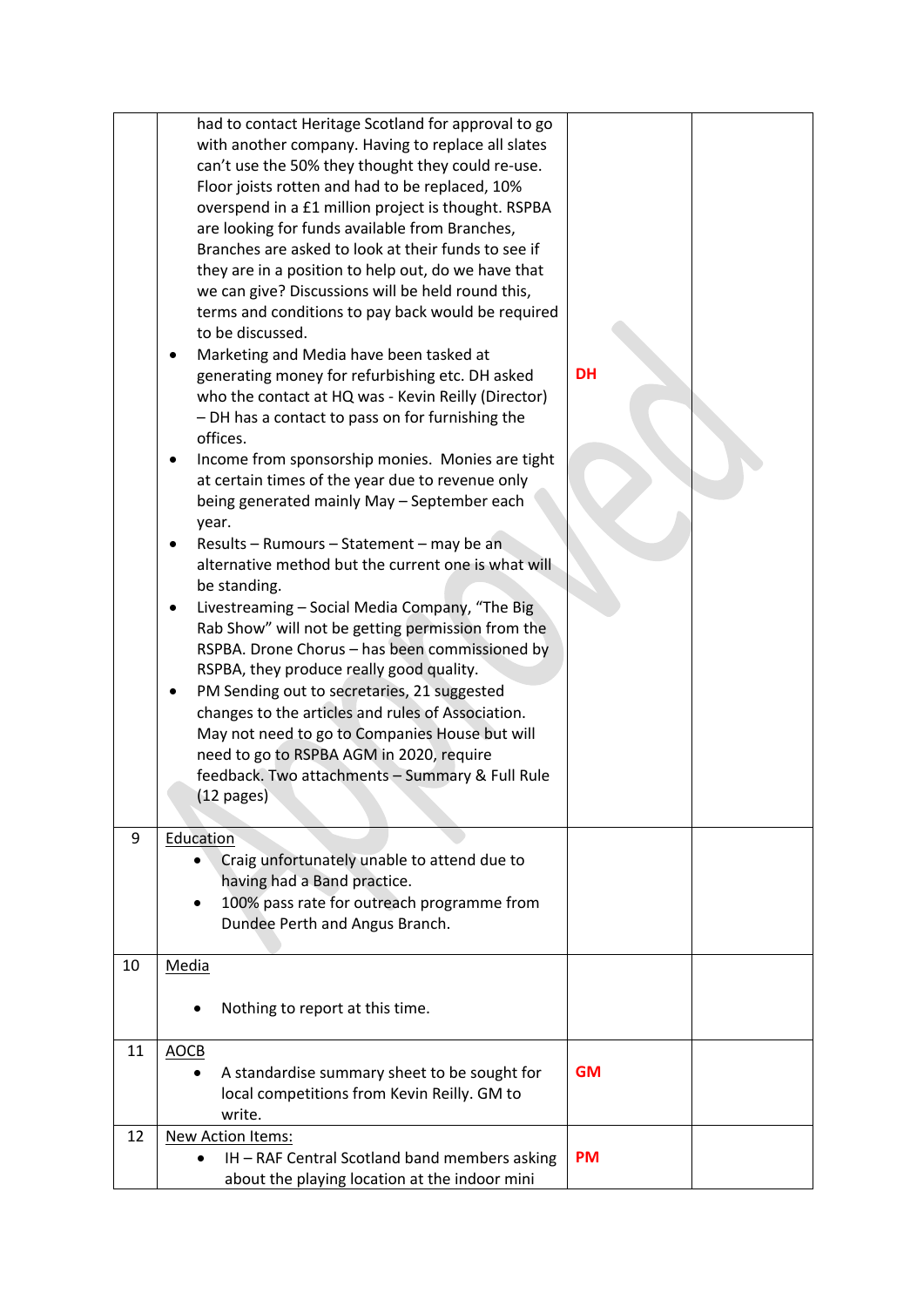|    | had to contact Heritage Scotland for approval to go<br>with another company. Having to replace all slates<br>can't use the 50% they thought they could re-use.<br>Floor joists rotten and had to be replaced, 10%<br>overspend in a £1 million project is thought. RSPBA<br>are looking for funds available from Branches,<br>Branches are asked to look at their funds to see if<br>they are in a position to help out, do we have that<br>we can give? Discussions will be held round this,<br>terms and conditions to pay back would be required<br>to be discussed.<br>Marketing and Media have been tasked at<br>generating money for refurbishing etc. DH asked<br>who the contact at HQ was - Kevin Reilly (Director)<br>- DH has a contact to pass on for furnishing the<br>offices.<br>Income from sponsorship monies. Monies are tight<br>٠<br>at certain times of the year due to revenue only<br>being generated mainly May - September each<br>year.<br>Results - Rumours - Statement - may be an<br>alternative method but the current one is what will<br>be standing.<br>Livestreaming - Social Media Company, "The Big<br>Rab Show" will not be getting permission from the<br>RSPBA. Drone Chorus - has been commissioned by<br>RSPBA, they produce really good quality.<br>PM Sending out to secretaries, 21 suggested<br>changes to the articles and rules of Association.<br>May not need to go to Companies House but will<br>need to go to RSPBA AGM in 2020, require<br>feedback. Two attachments - Summary & Full Rule<br>$(12 \text{ pages})$ | <b>DH</b> |
|----|-------------------------------------------------------------------------------------------------------------------------------------------------------------------------------------------------------------------------------------------------------------------------------------------------------------------------------------------------------------------------------------------------------------------------------------------------------------------------------------------------------------------------------------------------------------------------------------------------------------------------------------------------------------------------------------------------------------------------------------------------------------------------------------------------------------------------------------------------------------------------------------------------------------------------------------------------------------------------------------------------------------------------------------------------------------------------------------------------------------------------------------------------------------------------------------------------------------------------------------------------------------------------------------------------------------------------------------------------------------------------------------------------------------------------------------------------------------------------------------------------------------------------------------------------------------------------|-----------|
| 9  | Education<br>Craig unfortunately unable to attend due to<br>having had a Band practice.<br>100% pass rate for outreach programme from<br>$\bullet$<br>Dundee Perth and Angus Branch.                                                                                                                                                                                                                                                                                                                                                                                                                                                                                                                                                                                                                                                                                                                                                                                                                                                                                                                                                                                                                                                                                                                                                                                                                                                                                                                                                                                    |           |
| 10 | Media<br>Nothing to report at this time.                                                                                                                                                                                                                                                                                                                                                                                                                                                                                                                                                                                                                                                                                                                                                                                                                                                                                                                                                                                                                                                                                                                                                                                                                                                                                                                                                                                                                                                                                                                                |           |
| 11 | <b>AOCB</b><br>A standardise summary sheet to be sought for<br>local competitions from Kevin Reilly. GM to<br>write.                                                                                                                                                                                                                                                                                                                                                                                                                                                                                                                                                                                                                                                                                                                                                                                                                                                                                                                                                                                                                                                                                                                                                                                                                                                                                                                                                                                                                                                    | <b>GM</b> |
| 12 | <b>New Action Items:</b><br>IH - RAF Central Scotland band members asking<br>about the playing location at the indoor mini                                                                                                                                                                                                                                                                                                                                                                                                                                                                                                                                                                                                                                                                                                                                                                                                                                                                                                                                                                                                                                                                                                                                                                                                                                                                                                                                                                                                                                              | <b>PM</b> |